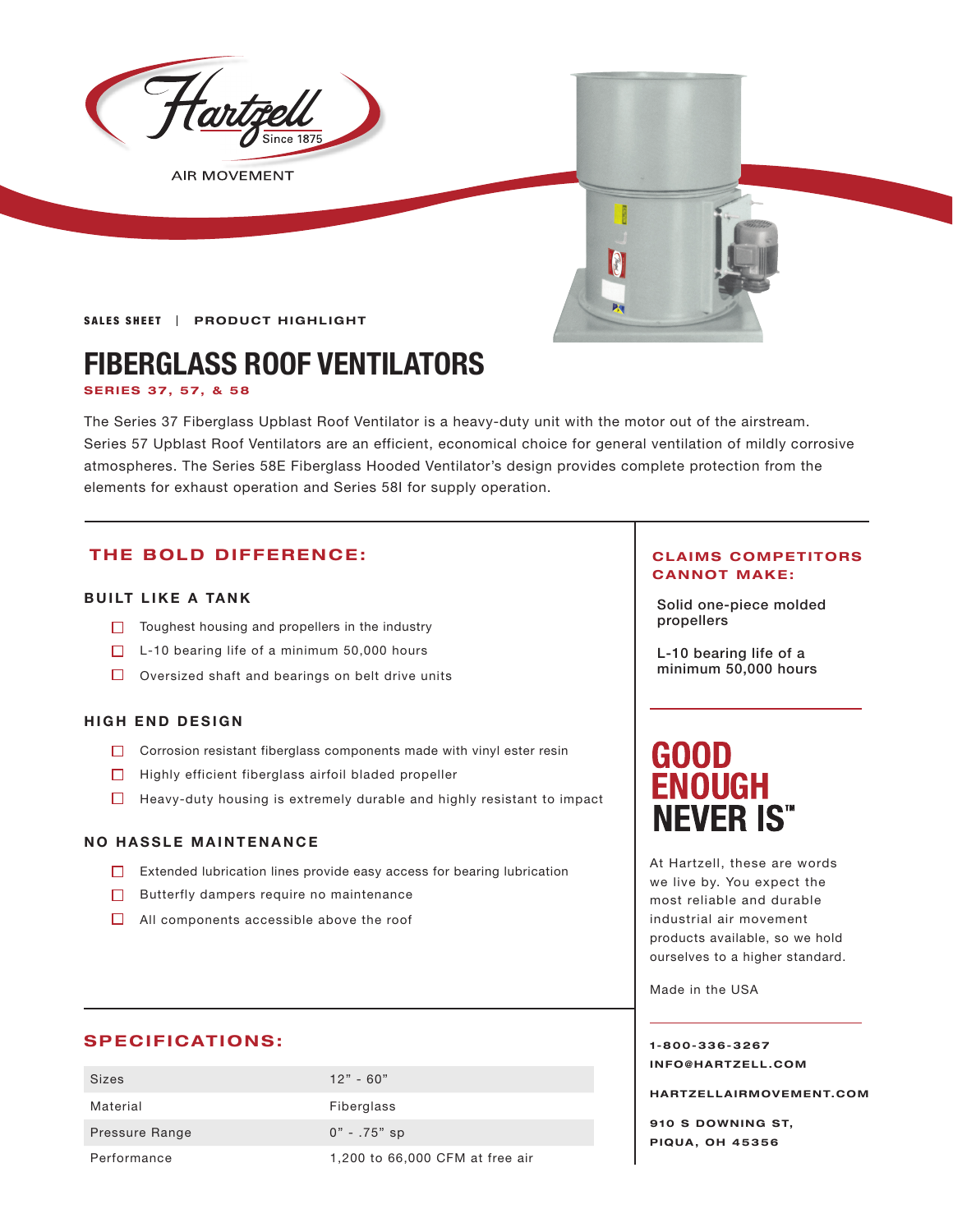

**AIR MOVEMENT** 

**SALES SHEET | PRODUCT HIGHLIGHT** 

## **FIBERGLASS ROOF VENTILATORS**

**SERIES 37, 57, & 58**

The Series 37 Fiberglass Upblast Roof Ventilator is a heavy-duty unit with the motor out of the airstream. Series 57 Upblast Roof Ventilators are an efficient, economical choice for general ventilation of mildly corrosive atmospheres. The Series 58E Fiberglass Hooded Ventilator's design provides complete protection from the elements for exhaust operation and Series 58I for supply operation.

#### **THE BOLD DIFFERENCE:**

#### **BUILT LIKE A TANK**

- **propellers** Toughest housing and propellers in the industry
- $\Box$  L-10 bearing life of a minimum 50,000 hours
- $\Box$  Oversized shaft and bearings on belt drive units

#### **HIGH END DESIGN**

- $\Box$  Corrosion resistant fiberglass components made with vinyl ester resin
- $\Box$  Highly efficient fiberglass airfoil bladed propeller
- $\Box$  Heavy-duty housing is extremely durable and highly resistant to impact

#### **NO HASSLE MAINTENANCE**

- Extended lubrication lines provide easy access for bearing lubrication
- $\Box$  Butterfly dampers require no maintenance
- $\Box$  All components accessible above the roof

#### **SPECIFICATIONS:**

| <b>Sizes</b>   | $12" - 60"$                     |
|----------------|---------------------------------|
| Material       | Fiberglass                      |
| Pressure Range | $0" - .75"$ sp                  |
| Performance    | 1,200 to 66,000 CFM at free air |

#### **CLAIMS COMPETITORS CANNOT MAKE:**

Solid one-piece molded

L-10 bearing life of a minimum 50,000 hours

# **GOOD<br>ENOUGH NEVER IS"**

At Hartzell, these are words we live by. You expect the most reliable and durable industrial air movement products available, so we hold ourselves to a higher standard.

Made in the USA

**1-800-336-3267 I N F O @ H A R T Z E L L . C OM** 

**HARTZELLA IRMOVEMENT.COM**

**910 S DOWNING ST, PIQUA, OH 45356**